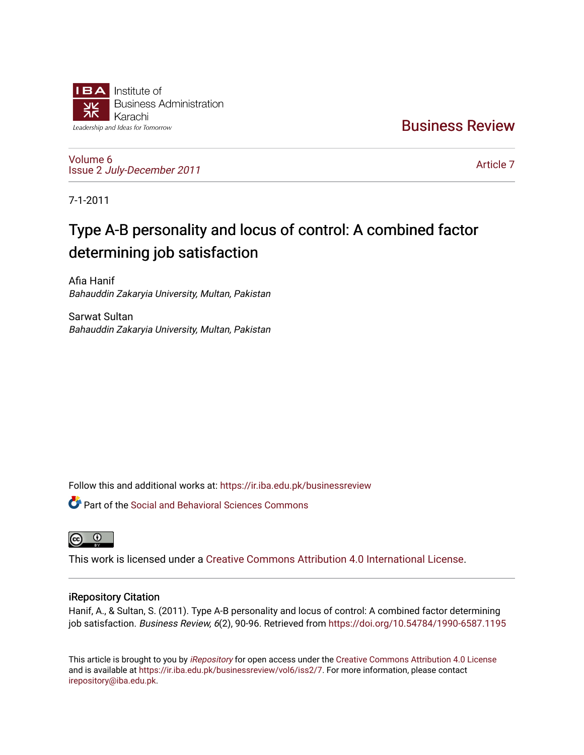

[Business Review](https://ir.iba.edu.pk/businessreview) 

[Volume 6](https://ir.iba.edu.pk/businessreview/vol6) Issue 2 [July-December 2011](https://ir.iba.edu.pk/businessreview/vol6/iss2)

[Article 7](https://ir.iba.edu.pk/businessreview/vol6/iss2/7) 

7-1-2011

# Type A-B personality and locus of control: A combined factor determining job satisfaction

Afia Hanif Bahauddin Zakaryia University, Multan, Pakistan

Sarwat Sultan Bahauddin Zakaryia University, Multan, Pakistan

Follow this and additional works at: [https://ir.iba.edu.pk/businessreview](https://ir.iba.edu.pk/businessreview?utm_source=ir.iba.edu.pk%2Fbusinessreview%2Fvol6%2Fiss2%2F7&utm_medium=PDF&utm_campaign=PDFCoverPages) 

**C** Part of the Social and Behavioral Sciences Commons



This work is licensed under a [Creative Commons Attribution 4.0 International License](https://creativecommons.org/licenses/by/4.0/).

# iRepository Citation

Hanif, A., & Sultan, S. (2011). Type A-B personality and locus of control: A combined factor determining job satisfaction. Business Review, 6(2), 90-96. Retrieved from https://doi.org/10.54784/1990-6587.1195

This article is brought to you by [iRepository](https://ir.iba.edu.pk/) for open access under the Creative Commons Attribution 4.0 License and is available at [https://ir.iba.edu.pk/businessreview/vol6/iss2/7.](https://ir.iba.edu.pk/businessreview/vol6/iss2/7) For more information, please contact [irepository@iba.edu.pk.](mailto:irepository@iba.edu.pk)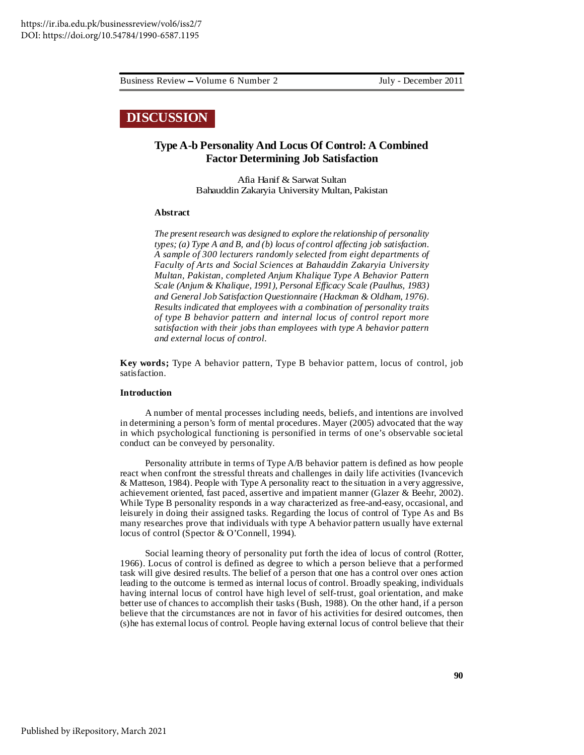Business Review Volume 6 Number 2 July - December 2011

# **DISCUSSION**

# **Type A-b Personality And Locus Of Control: A Combined Factor Determining Job Satisfaction**

Afia Hanif & Sarwat Sultan Bahauddin Zakaryia University Multan, Pakistan

#### **Abstract**

*The presentresearch was designed to explore the relationship of personality types; (a) Type A and B, and (b) locus of control affecting job satisfaction. A sample of 300 lecturers randomly selected from eight departments of Faculty of Arts and Social Sciences at Bahauddin Zakaryia University Multan, Pakistan, completed Anjum Khalique Type A Behavior Pattern Scale (Anjum & Khalique, 1991), Personal Efficacy Scale (Paulhus, 1983) and General Job Satisfaction Questionnaire (Hackman & Oldham, 1976). Results indicated that employees with a combination of personality traits of type B behavior pattern and internal locus of control report more satisfaction with their jobs than employees with type A behavior pattern and external locus of control.*

**Key words;** Type A behavior pattern, Type B behavior pattern, locus of control, job satisfaction.

## **Introduction**

A number of mental processes including needs, beliefs, and intentions are involved in determining a person's form of mental procedures. Mayer (2005) advocated that the way in which psychological functioning is personified in terms of one's observable societal conduct can be conveyed by personality.

Personality attribute in terms of Type A/B behavior pattern is defined as how people react when confront the stressful threats and challenges in daily life activities (Ivancevich & Matteson, 1984). People with Type A personality react to the situation in a very aggressive, achievement oriented, fast paced, assertive and impatient manner (Glazer & Beehr, 2002). While Type B personality responds in a way characterized as free-and-easy, occasional, and leisurely in doing their assigned tasks. Regarding the locus of control of Type As and Bs many researches prove that individuals with type A behavior pattern usually have external locus of control (Spector & O'Connell, 1994).

Social learning theory of personality put forth the idea of locus of control (Rotter, 1966). Locus of control is defined as degree to which a person believe that a performed task will give desired results. The belief of a person that one has a control over ones action leading to the outcome is termed as internal locus of control. Broadly speaking, individuals having internal locus of control have high level of self-trust, goal orientation, and make better use of chances to accomplish their tasks (Bush, 1988). On the other hand, if a person believe that the circumstances are not in favor of his activities for desired outcomes, then (s)he has external locus of control. People having external locus of control believe that their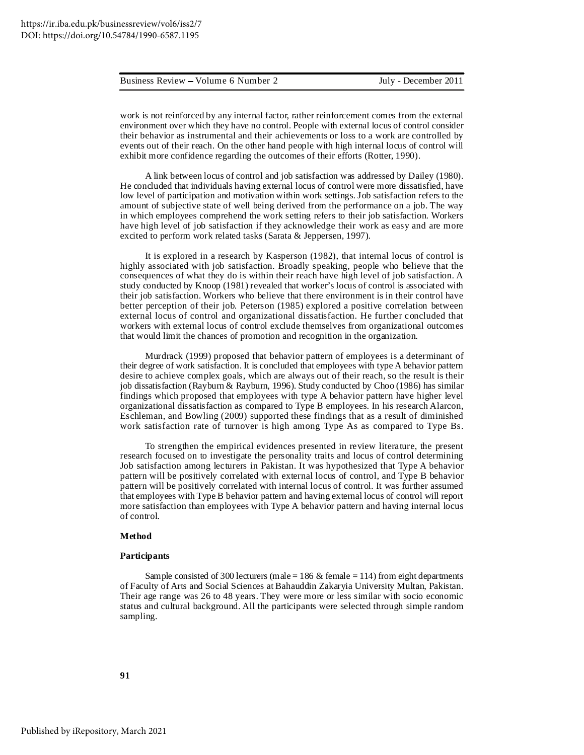#### Business Review Volume 6 Number 2 July - December 2011

work is not reinforced by any internal factor, rather reinforcement comes from the external environment over which they have no control. People with external locus of control consider their behavior as instrumental and their achievements or loss to a work are controlled by events out of their reach. On the other hand people with high internal locus of control will exhibit more confidence regarding the outcomes of their efforts (Rotter, 1990).

A link between locus of control and job satisfaction was addressed by Dailey (1980). He concluded that individuals having external locus of control were more dissatisfied, have low level of participation and motivation within work settings. Job satisfaction refers to the amount of subjective state of well being derived from the performance on a job. The way in which employees comprehend the work setting refers to their job satisfaction. Workers have high level of job satisfaction if they acknowledge their work as easy and are more excited to perform work related tasks (Sarata & Jeppersen, 1997).

It is explored in a research by Kasperson (1982), that internal locus of control is highly associated with job satisfaction. Broadly speaking, people who believe that the consequences of what they do is within their reach have high level of job satisfaction. A study conducted by Knoop (1981) revealed that worker's locus of control is associated with their job satisfaction. Workers who believe that there environment is in their control have better perception of their job. Peterson (1985) explored a positive correlation between external locus of control and organizational dissatisfaction. He further concluded that workers with external locus of control exclude themselves from organizational outcomes that would limit the chances of promotion and recognition in the organization.

Murdrack (1999) proposed that behavior pattern of employees is a determinant of their degree of work satisfaction. It is concluded that employees with type A behavior pattern desire to achieve complex goals, which are always out of their reach, so the result is their job dissatisfaction (Rayburn & Rayburn, 1996). Study conducted by Choo (1986) has similar findings which proposed that employees with type A behavior pattern have higher level organizational dissatisfaction as compared to Type B employees. In his research Alarcon, Eschleman, and Bowling (2009) supported these findings that as a result of diminished work satisfaction rate of turnover is high among Type As as compared to Type Bs.

To strengthen the empirical evidences presented in review literature, the present research focused on to investigate the personality traits and locus of control determining Job satisfaction among lecturers in Pakistan. It was hypothesized that Type A behavior pattern will be positively correlated with external locus of control, and Type B behavior pattern will be positively correlated with internal locus of control. It was further assumed that employees with Type B behavior pattern and having external locus of control will report more satisfaction than employees with Type A behavior pattern and having internal locus of control.

#### **Method**

#### **Participants**

Sample consisted of 300 lecturers (male = 186  $\&$  female = 114) from eight departments of Faculty of Arts and Social Sciences at Bahauddin Zakaryia University Multan, Pakistan. Their age range was 26 to 48 years. They were more or less similar with socio economic status and cultural background. All the participants were selected through simple random sampling.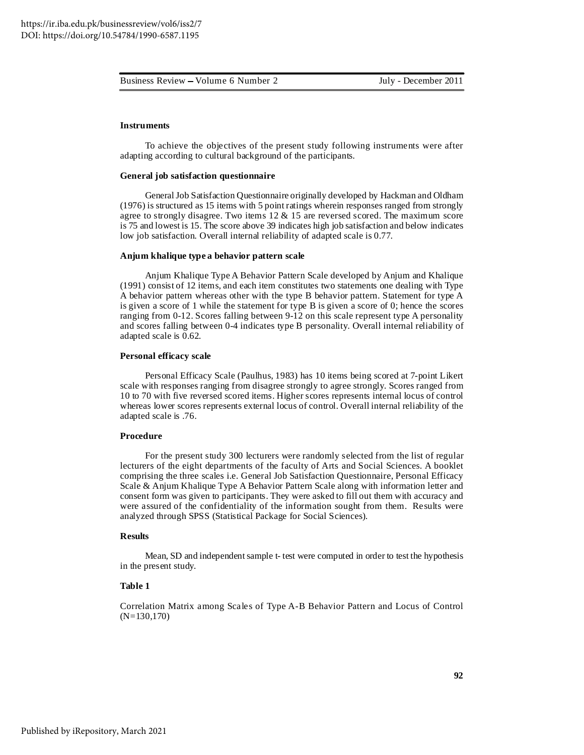Business Review – Volume 6 Number 2 July - December 2011

## **Instruments**

To achieve the objectives of the present study following instruments were after adapting according to cultural background of the participants.

#### **General job satisfaction questionnaire**

General Job Satisfaction Questionnaire originally developed by Hackman and Oldham (1976) is structured as 15 items with 5 point ratings wherein responses ranged from strongly agree to strongly disagree. Two items  $12 \& 15$  are reversed scored. The maximum score is 75 and lowest is 15. The score above 39 indicates high job satisfaction and below indicates low job satisfaction. Overall internal reliability of adapted scale is 0.77.

#### **Anjum khalique type a behavior pattern scale**

Anjum Khalique Type A Behavior Pattern Scale developed by Anjum and Khalique (1991) consist of 12 items, and each item constitutes two statements one dealing with Type A behavior pattern whereas other with the type B behavior pattern. Statement for type A is given a score of 1 while the statement for type B is given a score of 0; hence the scores ranging from 0-12. Scores falling between 9-12 on this scale represent type A personality and scores falling between 0-4 indicates type B personality. Overall internal reliability of adapted scale is 0.62.

#### **Personal efficacy scale**

Personal Efficacy Scale (Paulhus, 1983) has 10 items being scored at 7-point Likert scale with responses ranging from disagree strongly to agree strongly. Scores ranged from 10 to 70 with five reversed scored items. Higher scores represents internal locus of control whereas lower scores represents external locus of control. Overall internal reliability of the adapted scale is .76.

## **Procedure**

For the present study 300 lecturers were randomly selected from the list of regular lecturers of the eight departments of the faculty of Arts and Social Sciences. A booklet comprising the three scales i.e. General Job Satisfaction Questionnaire, Personal Efficacy Scale & Anjum Khalique Type A Behavior Pattern Scale along with information letter and consent form was given to participants. They were asked to fill out them with accuracy and were assured of the confidentiality of the information sought from them. Results were analyzed through SPSS (Statistical Package for Social Sciences).

#### **Results**

Mean, SD and independent sample t- test were computed in order to test the hypothesis in the present study.

# **Table 1**

Correlation Matrix among Scales of Type A-B Behavior Pattern and Locus of Control (N=130,170)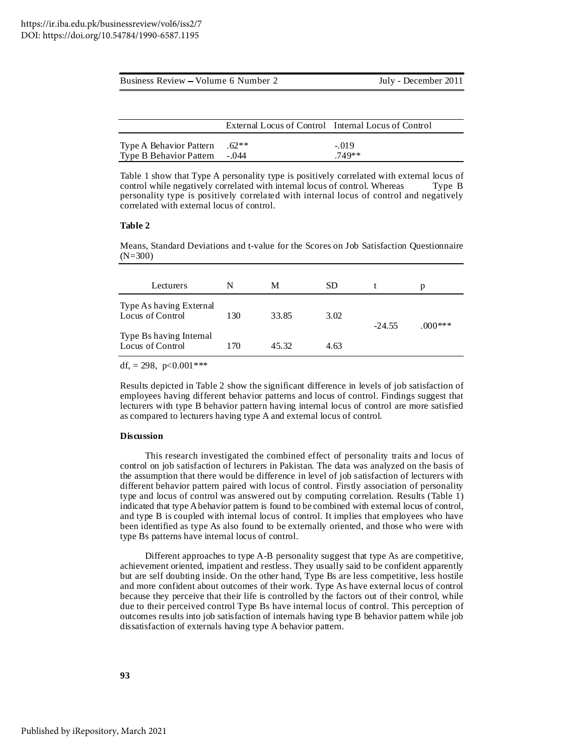| Business Review – Volume 6 Number 2 |                                                     | July - December 2011 |  |  |
|-------------------------------------|-----------------------------------------------------|----------------------|--|--|
|                                     |                                                     |                      |  |  |
|                                     |                                                     |                      |  |  |
|                                     | External Locus of Control Internal Locus of Control |                      |  |  |
| Type A Behavior Pattern             | $.62**$                                             | $-.019$              |  |  |

Table 1 show that Type A personality type is positively correlated with external locus of control while negatively correlated with internal locus of control. Whereas Type B personality type is positively correlated with internal locus of control and negatively correlated with external locus of control.

Type B Behavior Pattern -.044 .749\*\*

#### **Table 2**

Means, Standard Deviations and t-value for the Scores on Job Satisfaction Questionnaire (N=300)

| Lecturers                                   |     | M     | <b>SD</b> |          | р        |
|---------------------------------------------|-----|-------|-----------|----------|----------|
| Type As having External<br>Locus of Control | 130 | 33.85 | 3.02      | $-24.55$ | $000***$ |
| Type Bs having Internal<br>Locus of Control | 170 | 45.32 | 4.63      |          |          |

df,  $= 298$ ,  $p < 0.001$ \*\*\*

Results depicted in Table 2 show the significant difference in levels of job satisfaction of employees having different behavior patterns and locus of control. Findings suggest that lecturers with type B behavior pattern having internal locus of control are more satisfied as compared to lecturers having type A and external locus of control.

## **Discussion**

This research investigated the combined effect of personality traits and locus of control on job satisfaction of lecturers in Pakistan. The data was analyzed on the basis of the assumption that there would be difference in level of job satisfaction of lecturers with different behavior pattern paired with locus of control. Firstly association of personality type and locus of control was answered out by computing correlation. Results (Table 1) indicated that type Abehavior pattern is found to be combined with external locus of control, and type B is coupled with internal locus of control. It implies that employees who have been identified as type As also found to be externally oriented, and those who were with type Bs patterns have internal locus of control.

Different approaches to type A-B personality suggest that type As are competitive, achievement oriented, impatient and restless. They usually said to be confident apparently but are self doubting inside. On the other hand, Type Bs are less competitive, less hostile and more confident about outcomes of their work. Type As have external locus of control because they perceive that their life is controlled by the factors out of their control, while due to their perceived control Type Bs have internal locus of control. This perception of outcomes results into job satisfaction of internals having type B behavior pattern while job dissatisfaction of externals having type A behavior pattern.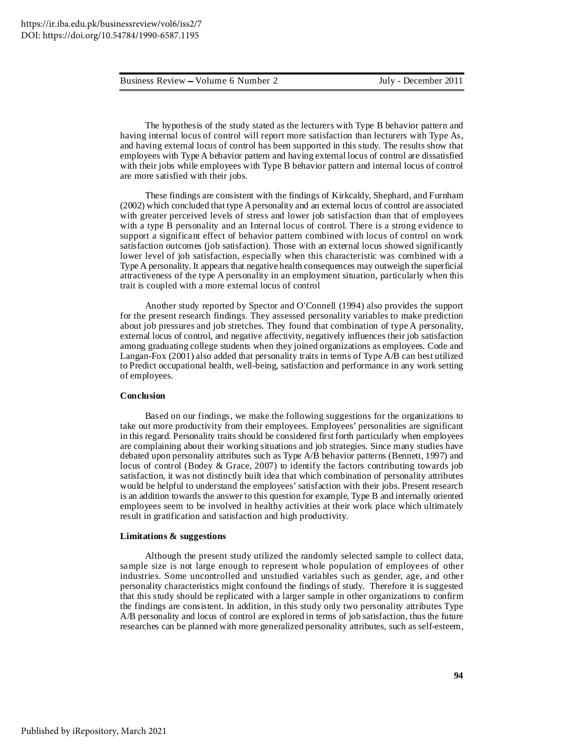The hypothesis of the study stated as the lecturers with Type B behavior pattern and having internal locus of control will report more satisfaction than lecturers with Type As, and having external locus of control has been supported in this study. The results show that employees with Type A behavior pattern and having external locus of control are dissatisfied with their jobs while employees with Type B behavior pattern and internal locus of control are more satisfied with their jobs.

These findings are consistent with the findings of Kirkcaldy, Shephard, and Furnham (2002) which concluded that type Apersonality and an external locus of control are associated with greater perceived levels of stress and lower job satisfaction than that of employees with a type B personality and an Internal locus of control. There is a strong evidence to support a significant effect of behavior pattern combined with locus of control on work satisfaction outcomes (job satisfaction). Those with an external locus showed significantly lower level of job satisfaction, especially when this characteristic was combined with a Type A personality. It appears that negative health consequences may outweigh the superficial attractiveness of the type A personality in an employment situation, particularly when this trait is coupled with a more external locus of control

Another study reported by Spector and O'Connell (1994) also provides the support for the present research findings. They assessed personality variables to make prediction about job pressures and job stretches. They found that combination of type A personality, external locus of control, and negative affectivity, negatively influences their job satisfaction among graduating college students when they joined organizations as employees. Code and Langan-Fox (2001) also added that personality traits in terms of Type A/B can best utilized to Predict occupational health, well-being, satisfaction and performance in any work setting of employees.

#### **Conclusion**

Based on our findings, we make the following suggestions for the organizations to take out more productivity from their employees. Employees' personalities are significant in this regard. Personality traits should be considered first forth particularly when employees are complaining about their working situations and job strategies. Since many studies have debated upon personality attributes such as Type A/B behavior patterns (Bennett, 1997) and locus of control (Bodey & Grace, 2007) to identify the factors contributing towards job satisfaction, it was not distinctly built idea that which combination of personality attributes would be helpful to understand the employees' satisfaction with their jobs. Present research is an addition towards the answer to this question for example, Type B and internally oriented employees seem to be involved in healthy activities at their work place which ultimately result in gratification and satisfaction and high productivity.

#### **Limitations & suggestions**

Although the present study utilized the randomly selected sample to collect data, sample size is not large enough to represent whole population of employees of other industries. Some uncontrolled and unstudied variables such as gender, age, and other personality characteristics might confound the findings of study. Therefore it is suggested that this study should be replicated with a larger sample in other organizations to confirm the findings are consistent. In addition, in this study only two personality attributes Type A/B personality and locus of control are explored in terms of job satisfaction, thus the future researches can be planned with more generalized personality attributes, such as self-esteem,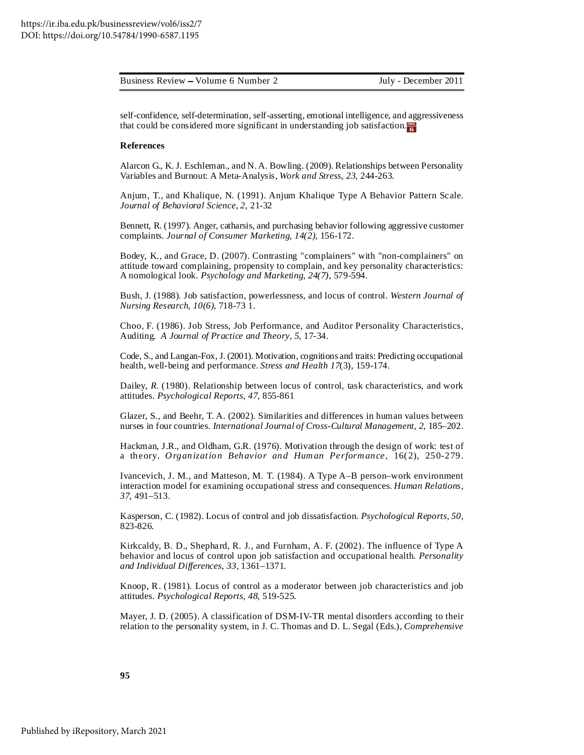| Business Review – Volume 6 Number 2 | July - December 2011 |
|-------------------------------------|----------------------|
|                                     |                      |

self-confidence, self-determination, self-asserting, emotional intelligence, and aggressiveness that could be considered more significant in understanding job satisfaction.

# **References**

Alarcon G., K. J. Eschleman., and N.A. Bowling. (2009). Relationships between Personality Variables and Burnout: A Meta-Analysis, *Work and Stress*, *23,* 244-263.

Anjum, T., and Khalique, N. (1991). Anjum Khalique Type A Behavior Pattern Scale. *Journal of Behavioral Science, 2,* 21-32

Bennett, R. (1997). Anger, catharsis, and purchasing behavior following aggressive customer complaints. *Journal of Consumer Marketing, 14(2),* 156-172.

Bodey, K., and Grace, D. (2007). Contrasting "complainers" with "non-complainers" on attitude toward complaining, propensity to complain, and key personality characteristics: A nomological look. *Psychology and Marketing, 24(7),* 579-594.

Bush, J. (1988). Job satisfaction, powerlessness, and locus of control. *Western Journal of Nursing Research, 10(6),* 718-73 1.

Choo, F. (1986). Job Stress, Job Performance, and Auditor Personality Characteristics, Auditing. *A Journal of Practice and Theory*, *5*, 17-34.

Code, S., and Langan-Fox, J. (2001). Motivation, cognitions and traits: Predicting occupational health, well-being and performance. *Stress and Health 17*(3), 159-174.

Dailey, *R.* (1980). Relationship between locus of control, task characteristics, and work attitudes. *Psychological Reports, 47*, 855-861

Glazer, S., and Beehr, T. A. (2002). Similarities and differences in human values between nurses in four countries. *International Journal of Cross-Cultural Management, 2,* 185–202.

Hackman, J.R., and Oldham, G.R. (1976). Motivation through the design of work: test of a theory. *Organization Behavior and Human Performance,* 16( 2), 250-279.

Ivancevich, J. M., and Matteson, M. T. (1984). A Type A–B person–work environment interaction model for examining occupational stress and consequences. *Human Relations*, *37*, 491–513.

Kasperson, C. (1982). Locus of control and job dissatisfaction. *Psychological Reports, 50,* 823-826.

Kirkcaldy, B. D., Shephard, R. J., and Furnham, A. F. (2002). The influence of Type A behavior and locus of control upon job satisfaction and occupational health. *Personality and Individual Differences*, *33*, 1361–1371.

Knoop, R. (1981). Locus of control as a moderator between job characteristics and job attitudes. *Psychological Reports, 48*, 519-525.

Mayer, J. D. (2005). A classification of DSM-IV-TR mental disorders according to their relation to the personality system, in J. C. Thomas and D. L. Segal (Eds.), *Comprehensive*